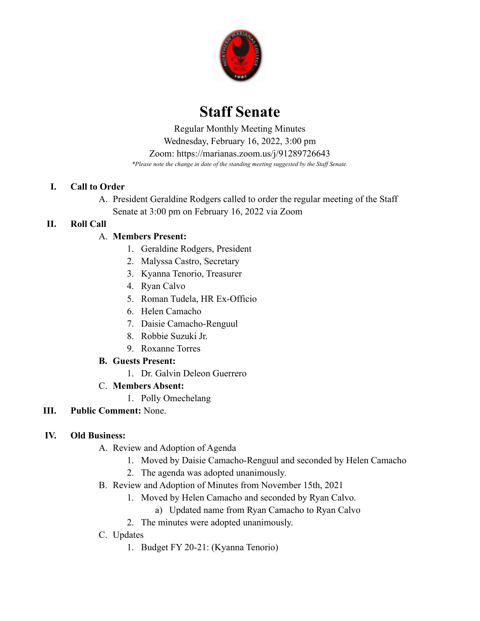

# **Staff Senate**

 *\*Please note the change in date of the standing meeting suggested by the Staff Senate.* Regular Monthly Meeting Minutes Wednesday, February 16, 2022, 3:00 pm Zoom: <https://marianas.zoom.us/j/91289726643>

#### **I. Call to Order**

A. President Geraldine Rodgers called to order the regular meeting of the Staff Senate at 3:00 pm on February 16, 2022 via Zoom

## **II. Roll Call**

## A. **Members Present:**

- 1. Geraldine Rodgers, President
- 2. Malyssa Castro, Secretary
- 3. Kyanna Tenorio, Treasurer
- 4. Ryan Calvo
- 5. Roman Tudela, HR Ex-Officio
- 6. Helen Camacho
- 7. Daisie Camacho-Renguul
- 8. Robbie Suzuki Jr.
- 9. Roxanne Torres

## **B. Guests Present:**

1. Dr. Galvin Deleon Guerrero

## C. **Members Absent:**

- 1. Polly Omechelang
- **III. Public Comment:** None.

## **IV. Old Business:**

- A. Review and Adoption of Agenda
	- 1. Moved by Daisie Camacho-Renguul and seconded by Helen Camacho
	- 2. The agenda was adopted unanimously.
- B. Review and Adoption of Minutes from November 15th, 2021
	- 1. Moved by Helen Camacho and seconded by Ryan Calvo.
		- a) Updated name from Ryan Camacho to Ryan Calvo
	- 2. The minutes were adopted unanimously.
- C. Updates
	- 1. Budget FY 20-21: (Kyanna Tenorio)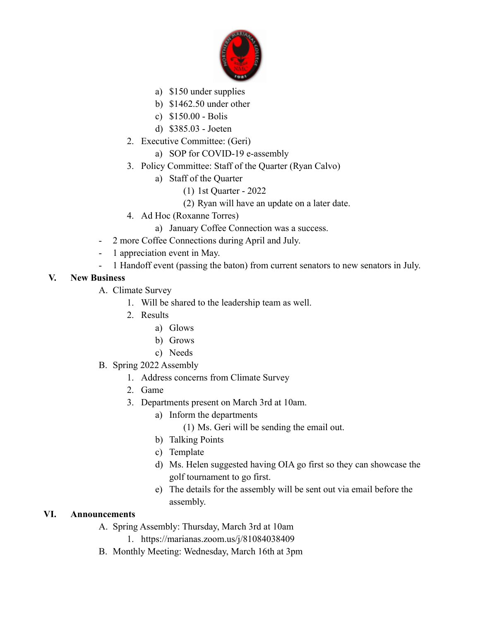

- a) \$150 under supplies
- b) \$1462.50 under other
- c) \$150.00 Bolis
- d) \$385.03 Joeten
- 2. Executive Committee: (Geri)
	- a) SOP for COVID-19 e-assembly
- 3. Policy Committee: Staff of the Quarter (Ryan Calvo)
	- a) Staff of the Quarter
		- (1) 1st Quarter 2022
		- (2) Ryan will have an update on a later date.
- 4. Ad Hoc (Roxanne Torres)
	- a) January Coffee Connection was a success.
- 2 more Coffee Connections during April and July.
- 1 appreciation event in May.
- 1 Handoff event (passing the baton) from current senators to new senators in July.

#### **V. New Business**

- A. Climate Survey
	- 1. Will be shared to the leadership team as well.
	- 2. Results
		- a) Glows
		- b) Grows
		- c) Needs
- B. Spring 2022 Assembly
	- 1. Address concerns from Climate Survey
	- 2. Game
	- 3. Departments present on March 3rd at 10am.
		- a) Inform the departments
			- (1) Ms. Geri will be sending the email out.
		- b) Talking Points
		- c) Template
		- d) Ms. Helen suggested having OIA go first so they can showcase the golf tournament to go first.
		- e) The details for the assembly will be sent out via email before the assembly.

#### **VI. Announcements**

A. Spring Assembly: Thursday, March 3rd at 10am

1. <https://marianas.zoom.us/j/81084038409>

B. Monthly Meeting: Wednesday, March 16th at 3pm